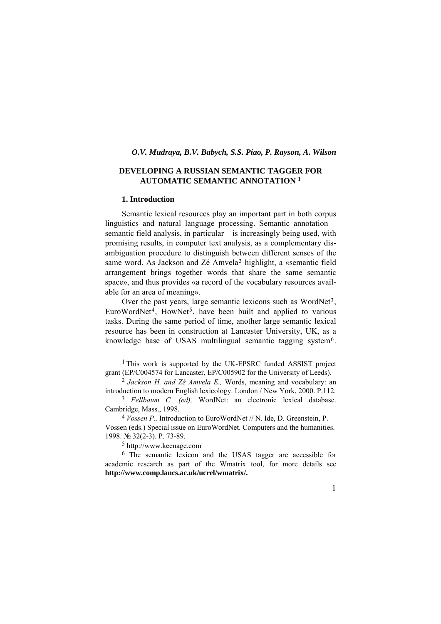# *O.V. Mudraya, B.V. Babych, S.S. Piao, P. Rayson, A. Wilson*

# **DEVELOPING A RUSSIAN SEMANTIC TAGGER FOR AUTOMATIC SEMANTIC ANNOTATION [1](#page-0-0)**

### **1. Introduction**

Semantic lexical resources play an important part in both corpus linguistics and natural language processing. Semantic annotation – semantic field analysis, in particular – is increasingly being used, with promising results, in computer text analysis, as a complementary disambiguation procedure to distinguish between different senses of the same word. As Jackson and Zé Amvela[2](#page-0-1) highlight, a «semantic field arrangement brings together words that share the same semantic space», and thus provides «a record of the vocabulary resources available for an area of meaning».

Over the past years, large semantic lexicons such as WordNet<sup>[3](#page-0-2)</sup>, EuroWordNet<sup>[4](#page-0-3)</sup>, HowNet<sup>[5](#page-0-4)</sup>, have been built and applied to various tasks. During the same period of time, another large semantic lexical resource has been in construction at Lancaster University, UK, as a knowledge base of USAS multilingual semantic tagging system<sup>[6](#page-0-5)</sup>.

<span id="page-0-0"></span><sup>&</sup>lt;sup>1</sup> This work is supported by the UK-EPSRC funded ASSIST project grant (EP/C004574 for Lancaster, EP/C005902 for the University of Leeds).

<span id="page-0-1"></span><sup>2</sup> *Jackson H. and Zé Amvela E.,* Words, meaning and vocabulary: an introduction to modern English lexicology. London / New York, 2000. P.112.

<span id="page-0-2"></span><sup>3</sup> *Fellbaum C. (ed),* WordNet: an electronic lexical database. Cambridge, Mass., 1998.

<span id="page-0-3"></span><sup>4</sup> *Vossen P.,* Introduction to EuroWordNet // N. Ide, D. Greenstein, P. Vossen (eds.) Special issue on EuroWordNet. Computers and the humanities. 1998. № 32(2-3). P. 73-89.

<sup>5</sup> http://www.keenage.com

<span id="page-0-5"></span><span id="page-0-4"></span><sup>6</sup> The semantic lexicon and the USAS tagger are accessible for academic research as part of the Wmatrix tool, for more details see **http://www.comp.lancs.ac.uk/ucrel/wmatrix/.**

<sup>1</sup>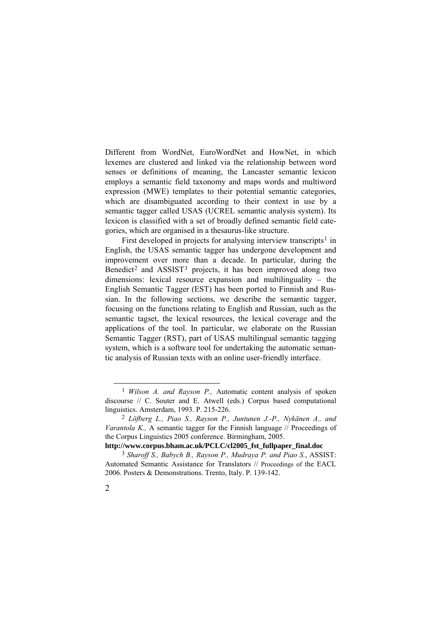Different from WordNet, EuroWordNet and HowNet, in which lexemes are clustered and linked via the relationship between word senses or definitions of meaning, the Lancaster semantic lexicon employs a semantic field taxonomy and maps words and multiword expression (MWE) templates to their potential semantic categories, which are disambiguated according to their context in use by a semantic tagger called USAS (UCREL semantic analysis system). Its lexicon is classified with a set of broadly defined semantic field categories, which are organised in a thesaurus-like structure.

First developed in projects for analysing interview transcripts<sup>[1](#page-1-0)</sup> in English, the USAS semantic tagger has undergone development and improvement over more than a decade. In particular, during the Benedict<sup>[2](#page-1-1)</sup> and  $ASSIST<sup>3</sup>$  $ASSIST<sup>3</sup>$  $ASSIST<sup>3</sup>$  projects, it has been improved along two dimensions: lexical resource expansion and multilinguality – the English Semantic Tagger (EST) has been ported to Finnish and Russian. In the following sections, we describe the semantic tagger, focusing on the functions relating to English and Russian, such as the semantic tagset, the lexical resources, the lexical coverage and the applications of the tool. In particular, we elaborate on the Russian Semantic Tagger (RST), part of USAS multilingual semantic tagging system, which is a software tool for undertaking the automatic semantic analysis of Russian texts with an online user-friendly interface.

<span id="page-1-0"></span><sup>1</sup> *Wilson A. and Rayson P.,* Automatic content analysis of spoken discourse // C. Souter and E. Atwell (eds.) Corpus based computational linguistics. Amsterdam, 1993. P. 215-226.

<span id="page-1-1"></span><sup>2</sup> *Löfberg L., Piao S., Rayson P., Juntunen J.-P., Nykänen A., and Varantola K.*, A semantic tagger for the Finnish language // Proceedings of the Corpus Linguistics 2005 conference. Birmingham, 2005.

**http://www.corpus.bham.ac.uk/PCLC/cl2005\_fst\_fullpaper\_final.doc**

<span id="page-1-2"></span><sup>3</sup> *Sharoff S., Babych B., Rayson P., Mudraya P. and Piao S.*, ASSIST: Automated Semantic Assistance for Translators // Proceedings of the EACL 2006. Posters & Demonstrations. Trento, Italy. P. 139-142.

<sup>2</sup>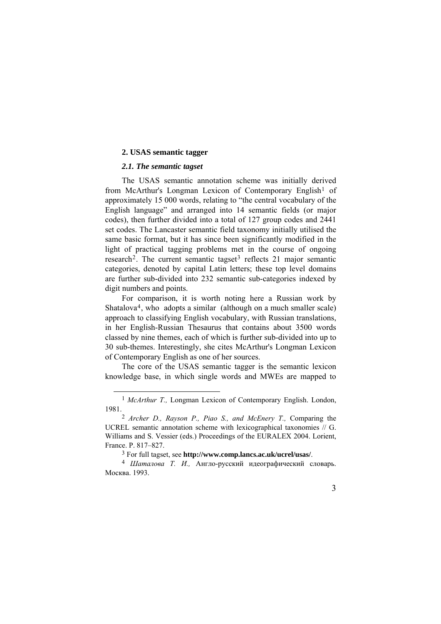### **2. USAS semantic tagger**

## *2.1. The semantic tagset*

l

The USAS semantic annotation scheme was initially derived from McArthur's Longman Lexicon of Contemporary English<sup>[1](#page-2-0)</sup> of approximately 15 000 words, relating to "the central vocabulary of the English language" and arranged into 14 semantic fields (or major codes), then further divided into a total of 127 group codes and 2441 set codes. The Lancaster semantic field taxonomy initially utilised the same basic format, but it has since been significantly modified in the light of practical tagging problems met in the course of ongoing research<sup>[2](#page-2-1)</sup>. The current semantic tagset<sup>[3](#page-2-2)</sup> reflects 21 major semantic categories, denoted by capital Latin letters; these top level domains are further sub-divided into 232 semantic sub-categories indexed by digit numbers and points.

For comparison, it is worth noting here a Russian work by Shatalova<sup>[4](#page-2-3)</sup>, who adopts a similar (although on a much smaller scale) approach to classifying English vocabulary, with Russian translations, in her English-Russian Thesaurus that contains about 3500 words classed by nine themes, each of which is further sub-divided into up to 30 sub-themes. Interestingly, she cites McArthur's Longman Lexicon of Contemporary English as one of her sources.

The core of the USAS semantic tagger is the semantic lexicon knowledge base, in which single words and MWEs are mapped to

<span id="page-2-3"></span><span id="page-2-2"></span><sup>&</sup>lt;sup>4</sup> Шаталова Т. И., Англо-русский идеографический словарь. Москва. 1993.



<span id="page-2-0"></span><sup>1</sup> *McArthur T.,* Longman Lexicon of Contemporary English. London, 1981.

<span id="page-2-1"></span><sup>2</sup> *Archer D., Rayson P., Piao S., and McEnery T.,* Comparing the UCREL semantic annotation scheme with lexicographical taxonomies // G. Williams and S. Vessier (eds.) Proceedings of the EURALEX 2004. Lorient, France. P. 817–827.<br><sup>3</sup> For full tagset, see **http://www.comp.lancs.ac.uk/ucrel/usas/**.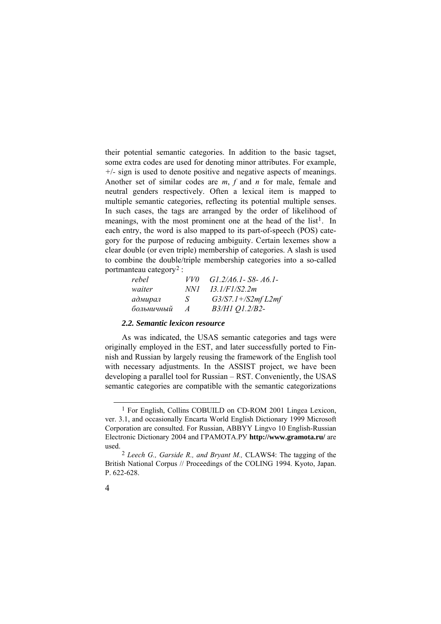their potential semantic categories. In addition to the basic tagset, some extra codes are used for denoting minor attributes. For example, *+*/*-* sign is used to denote positive and negative aspects of meanings. Another set of similar codes are *m*, *f* and *n* for male, female and neutral genders respectively. Often a lexical item is mapped to multiple semantic categories, reflecting its potential multiple senses. In such cases, the tags are arranged by the order of likelihood of meanings, with the most prominent one at the head of the list<sup>1</sup>. In each entry, the word is also mapped to its part-of-speech (POS) category for the purpose of reducing ambiguity. Certain lexemes show a clear double (or even triple) membership of categories. A slash is used to combine the double/triple membership categories into a so-called portmanteau category[2](#page-3-1) :

| rebel      | VVO            | $G1.2/A6.1 - S8 - A6.1 -$ |
|------------|----------------|---------------------------|
| waiter     | NN I           | 13.1/F1/S2.2m             |
| адмирал    | S              | $G3/S7.1 + /S2mfL2mf$     |
| больничный | $\overline{A}$ | B3/H1 Q1.2/B2-            |

## *2.2. Semantic lexicon resource*

As was indicated, the USAS semantic categories and tags were originally employed in the EST, and later successfully ported to Finnish and Russian by largely reusing the framework of the English tool with necessary adjustments. In the ASSIST project, we have been developing a parallel tool for Russian – RST. Conveniently, the USAS semantic categories are compatible with the semantic categorizations

<span id="page-3-0"></span><sup>1</sup> For English, Collins COBUILD on CD-ROM 2001 Lingea Lexicon, ver. 3.1, and occasionally Encarta World English Dictionary 1999 Microsoft Corporation are consulted. For Russian, ABBYY Lingvo 10 English-Russian Electronic Dictionary 2004 and ГРАМОТА.РУ **http://www.gramota.ru/** are used.

<span id="page-3-1"></span><sup>2</sup> *Leech G., Garside R., and Bryant M.,* CLAWS4: The tagging of the British National Corpus // Proceedings of the COLING 1994. Kyoto, Japan. P. 622-628.

<sup>4</sup>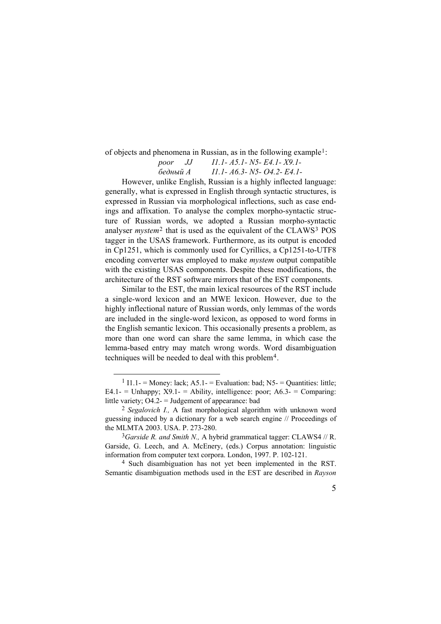of objects and phenomena in Russian, as in the following example[1](#page-4-0):

 *poor JJ I1.1- A5.1- N5- E4.1- X9.1 бедный A I1.1- A6.3- N5- O4.2- E4.1-* 

However, unlike English, Russian is a highly inflected language: generally, what is expressed in English through syntactic structures, is expressed in Russian via morphological inflections, such as case endings and affixation. To analyse the complex morpho-syntactic structure of Russian words, we adopted a Russian morpho-syntactic analyser *mystem*<sup>[2](#page-4-1)</sup> that is used as the equivalent of the CLAWS<sup>[3](#page-4-2)</sup> POS tagger in the USAS framework. Furthermore, as its output is encoded in Cp1251, which is commonly used for Cyrillics, a Cp1251-to-UTF8 encoding converter was employed to make *mystem* output compatible with the existing USAS components. Despite these modifications, the architecture of the RST software mirrors that of the EST components.

Similar to the EST, the main lexical resources of the RST include a single-word lexicon and an MWE lexicon. However, due to the highly inflectional nature of Russian words, only lemmas of the words are included in the single-word lexicon, as opposed to word forms in the English semantic lexicon. This occasionally presents a problem, as more than one word can share the same lemma, in which case the lemma-based entry may match wrong words. Word disambiguation techniques will be needed to deal with this problem[4](#page-4-3).

<span id="page-4-3"></span><sup>&</sup>lt;sup>4</sup> Such disambiguation has not yet been implemented in the RST. Semantic disambiguation methods used in the EST are described in *Rayson* 



<span id="page-4-0"></span><sup>&</sup>lt;sup>1</sup> I1.1 = Money: lack; A5.1 = Evaluation: bad; N5 = Quantities: little; E4.1- = Unhappy;  $X9.1-$  = Ability, intelligence: poor;  $A6.3-$  = Comparing: little variety; O4.2- = Judgement of appearance: bad

<span id="page-4-1"></span><sup>2</sup> *Segalovich I.,* A fast morphological algorithm with unknown word guessing induced by a dictionary for a web search engine // Proceedings of the MLMTA 2003. USA. P. 273-280.

<span id="page-4-2"></span> $3$ *Garside R. and Smith N., A hybrid grammatical tagger: CLAWS4 // R.* Garside, G. Leech, and A. McEnery, (eds.) Corpus annotation: linguistic information from computer text corpora. London, 1997. P. 102-121.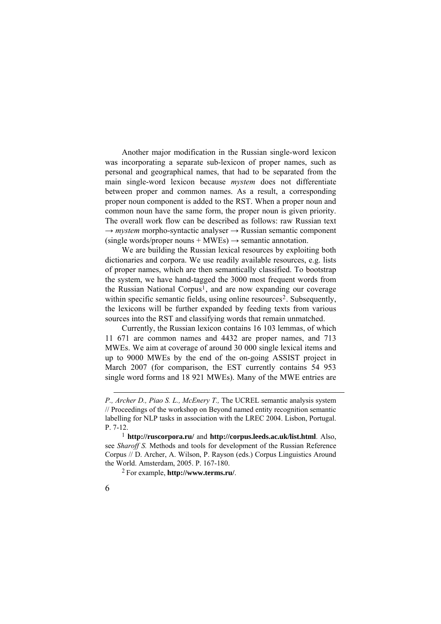Another major modification in the Russian single-word lexicon was incorporating a separate sub-lexicon of proper names, such as personal and geographical names, that had to be separated from the main single-word lexicon because *mystem* does not differentiate between proper and common names. As a result, a corresponding proper noun component is added to the RST. When a proper noun and common noun have the same form, the proper noun is given priority. The overall work flow can be described as follows: raw Russian text  $\rightarrow$  *mystem* morpho-syntactic analyser  $\rightarrow$  Russian semantic component  $(single words/proper nouns + MWEs) \rightarrow semantic annotation.$ 

We are building the Russian lexical resources by exploiting both dictionaries and corpora. We use readily available resources, e.g. lists of proper names, which are then semantically classified. To bootstrap the system, we have hand-tagged the 3000 most frequent words from the Russian National Corpus<sup>[1](#page-5-0)</sup>, and are now expanding our coverage within specific semantic fields, using online resources<sup>[2](#page-5-1)</sup>. Subsequently, the lexicons will be further expanded by feeding texts from various sources into the RST and classifying words that remain unmatched.

Currently, the Russian lexicon contains 16 103 lemmas, of which 11 671 are common names and 4432 are proper names, and 713 MWEs. We aim at coverage of around 30 000 single lexical items and up to 9000 MWEs by the end of the on-going ASSIST project in March 2007 (for comparison, the EST currently contains 54 953 single word forms and 18 921 MWEs). Many of the MWE entries are

<span id="page-5-1"></span><sup>2</sup> For example, **http://www.terms.ru/**.



*P., Archer D., Piao S. L., McEnery T.,* The UCREL semantic analysis system // Proceedings of the workshop on Beyond named entity recognition semantic labelling for NLP tasks in association with the LREC 2004. Lisbon, Portugal. P. 7-12.

<span id="page-5-0"></span><sup>1</sup> **http://ruscorpora.ru/** and **http://corpus.leeds.ac.uk/list.html**. Also, see *Sharoff S.* Methods and tools for development of the Russian Reference Corpus // D. Archer, A. Wilson, P. Rayson (eds.) Corpus Linguistics Around the World. Amsterdam, 2005. P. 167-180.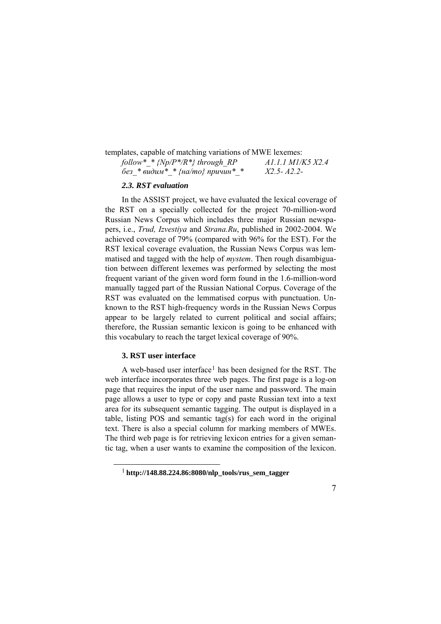templates, capable of matching variations of MWE lexemes:

| follow* * $\{Np/P^*/R^*\}$ through RP | <i>ALLI MI/K5 X2.4</i> |
|---------------------------------------|------------------------|
| без * видим* * {на/то} причин* *      | $X2.5 - A2.2 -$        |

### *2.3. RST evaluation*

In the ASSIST project, we have evaluated the lexical coverage of the RST on a specially collected for the project 70-million-word Russian News Corpus which includes three major Russian newspapers, i.e., *Trud, Izvestiya* and *Strana.Ru*, published in 2002-2004. We achieved coverage of 79% (compared with 96% for the EST). For the RST lexical coverage evaluation, the Russian News Corpus was lemmatised and tagged with the help of *mystem*. Then rough disambiguation between different lexemes was performed by selecting the most frequent variant of the given word form found in the 1.6-million-word manually tagged part of the Russian National Corpus. Coverage of the RST was evaluated on the lemmatised corpus with punctuation. Unknown to the RST high-frequency words in the Russian News Corpus appear to be largely related to current political and social affairs; therefore, the Russian semantic lexicon is going to be enhanced with this vocabulary to reach the target lexical coverage of 90%.

### **3. RST user interface**

<span id="page-6-0"></span>l

A web-based user interface<sup>[1](#page-6-0)</sup> has been designed for the RST. The web interface incorporates three web pages. The first page is a log-on page that requires the input of the user name and password. The main page allows a user to type or copy and paste Russian text into a text area for its subsequent semantic tagging. The output is displayed in a table, listing POS and semantic tag(s) for each word in the original text. There is also a special column for marking members of MWEs. The third web page is for retrieving lexicon entries for a given semantic tag, when a user wants to examine the composition of the lexicon.

7

<sup>1</sup> **http://148.88.224.86:8080/nlp\_tools/rus\_sem\_tagger**